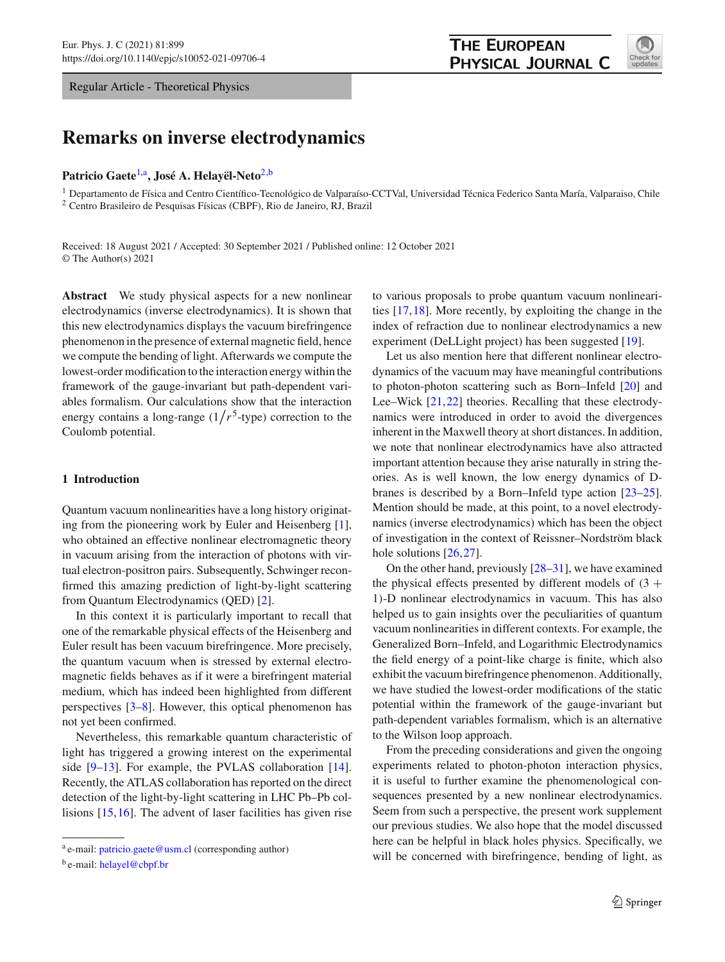Regular Article - Theoretical Physics

# **Remarks on inverse electrodynamics**

Patricio Gaete<sup>[1,](#page-0-0)a</sup>, José A. Helayël-Neto<sup>[2,](#page-0-0)b</sup>

<sup>1</sup> Departamento de Física and Centro Científico-Tecnológico de Valparaíso-CCTVal, Universidad Técnica Federico Santa María, Valparaiso, Chile <sup>2</sup> Centro Brasileiro de Pesquisas Físicas (CBPF), Rio de Janeiro, RJ, Brazil

Received: 18 August 2021 / Accepted: 30 September 2021 / Published online: 12 October 2021 © The Author(s) 2021

**Abstract** We study physical aspects for a new nonlinear electrodynamics (inverse electrodynamics). It is shown that this new electrodynamics displays the vacuum birefringence phenomenon in the presence of external magnetic field, hence we compute the bending of light. Afterwards we compute the lowest-order modification to the interaction energy within the framework of the gauge-invariant but path-dependent variables formalism. Our calculations show that the interaction energy contains a long-range  $(1/r^5$ -type) correction to the Coulomb potential.

# **1 Introduction**

Quantum vacuum nonlinearities have a long history originating from the pioneering work by Euler and Heisenberg [\[1](#page-7-0)], who obtained an effective nonlinear electromagnetic theory in vacuum arising from the interaction of photons with virtual electron-positron pairs. Subsequently, Schwinger reconfirmed this amazing prediction of light-by-light scattering from Quantum Electrodynamics (QED) [\[2\]](#page-7-1).

In this context it is particularly important to recall that one of the remarkable physical effects of the Heisenberg and Euler result has been vacuum birefringence. More precisely, the quantum vacuum when is stressed by external electromagnetic fields behaves as if it were a birefringent material medium, which has indeed been highlighted from different perspectives [\[3](#page-7-2)[–8\]](#page-7-3). However, this optical phenomenon has not yet been confirmed.

Nevertheless, this remarkable quantum characteristic of light has triggered a growing interest on the experimental side [\[9](#page-7-4)[–13](#page-7-5)]. For example, the PVLAS collaboration [\[14](#page-7-6)]. Recently, the ATLAS collaboration has reported on the direct detection of the light-by-light scattering in LHC Pb–Pb collisions [\[15](#page-7-7),[16\]](#page-7-8). The advent of laser facilities has given rise to various proposals to probe quantum vacuum nonlinearities [\[17](#page-7-9)[,18](#page-7-10)]. More recently, by exploiting the change in the index of refraction due to nonlinear electrodynamics a new experiment (DeLLight project) has been suggested [\[19](#page-7-11)].

Let us also mention here that different nonlinear electrodynamics of the vacuum may have meaningful contributions to photon-photon scattering such as Born–Infeld [\[20\]](#page-7-12) and Lee–Wick [\[21,](#page-7-13)[22\]](#page-7-14) theories. Recalling that these electrodynamics were introduced in order to avoid the divergences inherent in the Maxwell theory at short distances. In addition, we note that nonlinear electrodynamics have also attracted important attention because they arise naturally in string theories. As is well known, the low energy dynamics of Dbranes is described by a Born–Infeld type action [\[23](#page-7-15)[–25](#page-7-16)]. Mention should be made, at this point, to a novel electrodynamics (inverse electrodynamics) which has been the object of investigation in the context of Reissner–Nordström black hole solutions [\[26,](#page-7-17)[27\]](#page-7-18).

On the other hand, previously [\[28](#page-7-19)[–31\]](#page-7-20), we have examined the physical effects presented by different models of  $(3 +$ 1)-D nonlinear electrodynamics in vacuum. This has also helped us to gain insights over the peculiarities of quantum vacuum nonlinearities in different contexts. For example, the Generalized Born–Infeld, and Logarithmic Electrodynamics the field energy of a point-like charge is finite, which also exhibit the vacuum birefringence phenomenon. Additionally, we have studied the lowest-order modifications of the static potential within the framework of the gauge-invariant but path-dependent variables formalism, which is an alternative to the Wilson loop approach.

From the preceding considerations and given the ongoing experiments related to photon-photon interaction physics, it is useful to further examine the phenomenological consequences presented by a new nonlinear electrodynamics. Seem from such a perspective, the present work supplement our previous studies. We also hope that the model discussed here can be helpful in black holes physics. Specifically, we will be concerned with birefringence, bending of light, as

<span id="page-0-0"></span>

<sup>a</sup> e-mail: [patricio.gaete@usm.cl](mailto:patricio.gaete@usm.cl) (corresponding author)

b e-mail: [helayel@cbpf.br](mailto:helayel@cbpf.br)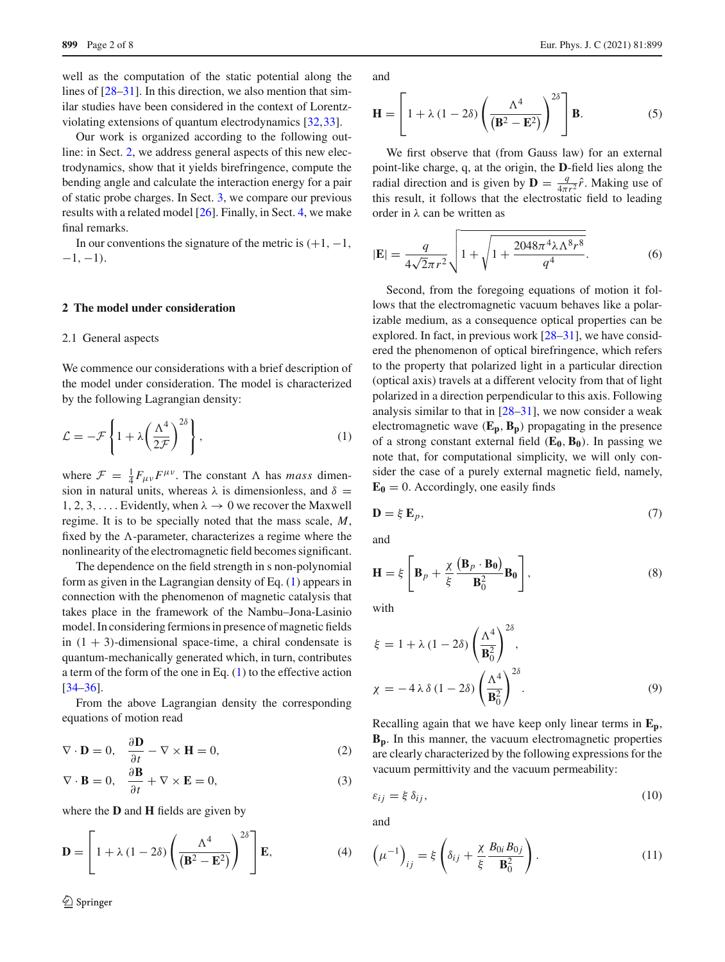well as the computation of the static potential along the lines of  $[28-31]$  $[28-31]$ . In this direction, we also mention that similar studies have been considered in the context of Lorentzviolating extensions of quantum electrodynamics [\[32,](#page-7-21)[33\]](#page-7-22).

Our work is organized according to the following outline: in Sect. [2,](#page-1-0) we address general aspects of this new electrodynamics, show that it yields birefringence, compute the bending angle and calculate the interaction energy for a pair of static probe charges. In Sect. [3,](#page-5-0) we compare our previous results with a related model [\[26\]](#page-7-17). Finally, in Sect. [4,](#page-6-0) we make final remarks.

In our conventions the signature of the metric is  $(+1, -1,$  $-1, -1$ ).

## <span id="page-1-0"></span>**2 The model under consideration**

#### 2.1 General aspects

We commence our considerations with a brief description of the model under consideration. The model is characterized by the following Lagrangian density:

<span id="page-1-1"></span>
$$
\mathcal{L} = -\mathcal{F}\left\{1 + \lambda \left(\frac{\Lambda^4}{2\mathcal{F}}\right)^{2\delta}\right\},\tag{1}
$$

where  $\mathcal{F} = \frac{1}{4} F_{\mu\nu} F^{\mu\nu}$ . The constant  $\Lambda$  has *mass* dimension in natural units, whereas  $\lambda$  is dimensionless, and  $\delta =$ 1, 2, 3, .... Evidently, when  $\lambda \to 0$  we recover the Maxwell regime. It is to be specially noted that the mass scale, *M*, fixed by the  $\Lambda$ -parameter, characterizes a regime where the nonlinearity of the electromagnetic field becomes significant.

The dependence on the field strength in s non-polynomial form as given in the Lagrangian density of Eq. [\(1\)](#page-1-1) appears in connection with the phenomenon of magnetic catalysis that takes place in the framework of the Nambu–Jona-Lasinio model. In considering fermions in presence of magnetic fields in  $(1 + 3)$ -dimensional space-time, a chiral condensate is quantum-mechanically generated which, in turn, contributes a term of the form of the one in Eq. [\(1\)](#page-1-1) to the effective action [\[34](#page-7-23)[–36](#page-7-24)].

From the above Lagrangian density the corresponding equations of motion read

<span id="page-1-3"></span>
$$
\nabla \cdot \mathbf{D} = 0, \quad \frac{\partial \mathbf{D}}{\partial t} - \nabla \times \mathbf{H} = 0,
$$
 (2)

$$
\nabla \cdot \mathbf{B} = 0, \quad \frac{\partial \mathbf{B}}{\partial t} + \nabla \times \mathbf{E} = 0,
$$
 (3)

where the **D** and **H** fields are given by

$$
\mathbf{D} = \left[1 + \lambda (1 - 2\delta) \left(\frac{\Lambda^4}{(\mathbf{B}^2 - \mathbf{E}^2)}\right)^{2\delta}\right] \mathbf{E},\tag{4}
$$

and

$$
\mathbf{H} = \left[1 + \lambda (1 - 2\delta) \left(\frac{\Lambda^4}{(\mathbf{B}^2 - \mathbf{E}^2)}\right)^{2\delta}\right] \mathbf{B}.
$$
 (5)

We first observe that (from Gauss law) for an external point-like charge, q, at the origin, the **D**-field lies along the radial direction and is given by  $\mathbf{D} = \frac{q}{4\pi r^2} \hat{r}$ . Making use of this result, it follows that the electrostatic field to leading order in  $\lambda$  can be written as

<span id="page-1-2"></span>
$$
|\mathbf{E}| = \frac{q}{4\sqrt{2}\pi r^2} \sqrt{1 + \sqrt{1 + \frac{2048\pi^4 \lambda \Lambda^8 r^8}{q^4}}}.
$$
 (6)

Second, from the foregoing equations of motion it follows that the electromagnetic vacuum behaves like a polarizable medium, as a consequence optical properties can be explored. In fact, in previous work [\[28](#page-7-19)[–31](#page-7-20)], we have considered the phenomenon of optical birefringence, which refers to the property that polarized light in a particular direction (optical axis) travels at a different velocity from that of light polarized in a direction perpendicular to this axis. Following analysis similar to that in [\[28](#page-7-19)[–31\]](#page-7-20), we now consider a weak electromagnetic wave  $(E_p, B_p)$  propagating in the presence of a strong constant external field  $(E_0, B_0)$ . In passing we note that, for computational simplicity, we will only consider the case of a purely external magnetic field, namely,  $\mathbf{E_0} = 0$ . Accordingly, one easily finds

$$
\mathbf{D} = \xi \, \mathbf{E}_p,\tag{7}
$$

and

$$
\mathbf{H} = \xi \left[ \mathbf{B}_p + \frac{\chi}{\xi} \frac{(\mathbf{B}_p \cdot \mathbf{B_0})}{\mathbf{B}_0^2} \mathbf{B_0} \right],
$$
 (8)

with

$$
\xi = 1 + \lambda (1 - 2\delta) \left(\frac{\Lambda^4}{\mathbf{B}_0^2}\right)^{2\delta},
$$
  

$$
\chi = -4\lambda \delta (1 - 2\delta) \left(\frac{\Lambda^4}{\mathbf{B}_0^2}\right)^{2\delta}.
$$
 (9)

Recalling again that we have keep only linear terms in **Ep**, **Bp**. In this manner, the vacuum electromagnetic properties are clearly characterized by the following expressions for the vacuum permittivity and the vacuum permeability:

$$
\varepsilon_{ij} = \xi \, \delta_{ij},\tag{10}
$$

and

$$
\left(\mu^{-1}\right)_{ij} = \xi \left(\delta_{ij} + \frac{\chi}{\xi} \frac{B_{0i} B_{0j}}{\mathbf{B}_0^2}\right). \tag{11}
$$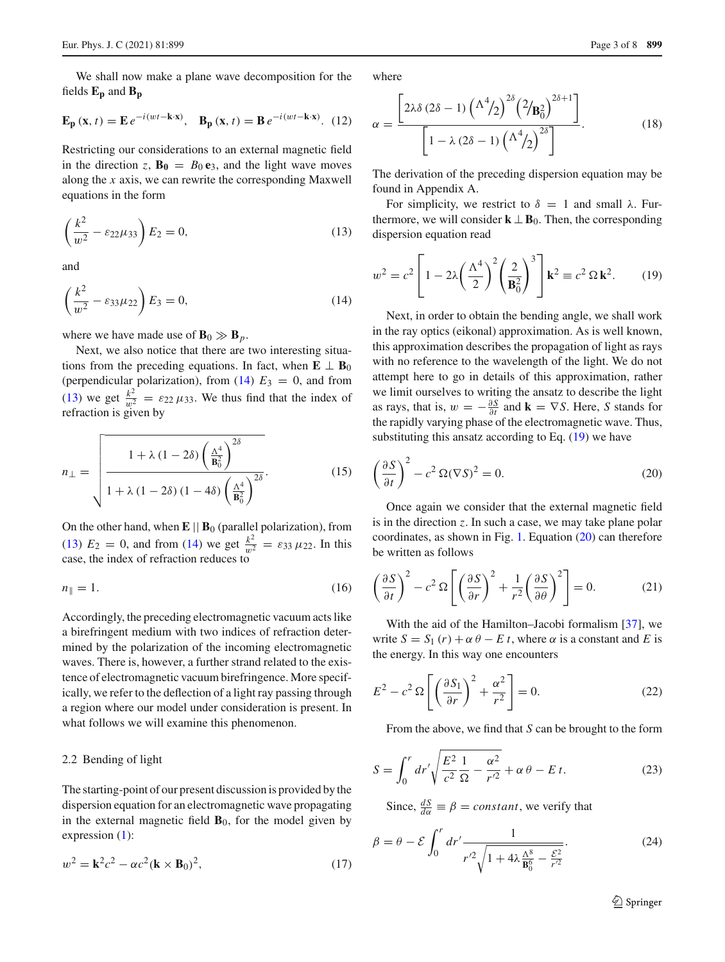We shall now make a plane wave decomposition for the fields **Ep** and **Bp**

$$
\mathbf{E}_{\mathbf{p}}\left(\mathbf{x},t\right) = \mathbf{E} \, e^{-i\left(wt - \mathbf{k}\cdot\mathbf{x}\right)}, \quad \mathbf{B}_{\mathbf{p}}\left(\mathbf{x},t\right) = \mathbf{B} \, e^{-i\left(wt - \mathbf{k}\cdot\mathbf{x}\right)}. \tag{12}
$$

Restricting our considerations to an external magnetic field in the direction *z*,  $\mathbf{B}_0 = B_0 \mathbf{e}_3$ , and the light wave moves along the *x* axis, we can rewrite the corresponding Maxwell equations in the form

<span id="page-2-1"></span>
$$
\left(\frac{k^2}{w^2} - \varepsilon_{22}\mu_{33}\right)E_2 = 0,\tag{13}
$$

and

<span id="page-2-0"></span>
$$
\left(\frac{k^2}{w^2} - \varepsilon_{33}\mu_{22}\right)E_3 = 0,\tag{14}
$$

where we have made use of  $\mathbf{B}_0 \gg \mathbf{B}_p$ .

Next, we also notice that there are two interesting situations from the preceding equations. In fact, when  $\mathbf{E} \perp \mathbf{B}_0$ (perpendicular polarization), from  $(14)$   $E_3 = 0$ , and from [\(13\)](#page-2-1) we get  $\frac{k^2}{w^2} = \varepsilon_{22} \mu_{33}$ . We thus find that the index of refraction is given by

$$
n_{\perp} = \sqrt{\frac{1 + \lambda (1 - 2\delta) \left(\frac{\Lambda^4}{\mathbf{B}_0^2}\right)^{2\delta}}{1 + \lambda (1 - 2\delta) (1 - 4\delta) \left(\frac{\Lambda^4}{\mathbf{B}_0^2}\right)^{2\delta}}}.
$$
(15)

On the other hand, when  $\mathbf{E} \parallel \mathbf{B}_0$  (parallel polarization), from [\(13\)](#page-2-1)  $E_2 = 0$ , and from [\(14\)](#page-2-0) we get  $\frac{k^2}{w^2} = \varepsilon_{33} \mu_{22}$ . In this case, the index of refraction reduces to

$$
n_{\parallel} = 1. \tag{16}
$$

Accordingly, the preceding electromagnetic vacuum acts like a birefringent medium with two indices of refraction determined by the polarization of the incoming electromagnetic waves. There is, however, a further strand related to the existence of electromagnetic vacuum birefringence. More specifically, we refer to the deflection of a light ray passing through a region where our model under consideration is present. In what follows we will examine this phenomenon.

#### 2.2 Bending of light

The starting-point of our present discussion is provided by the dispersion equation for an electromagnetic wave propagating in the external magnetic field  $\mathbf{B}_0$ , for the model given by expression [\(1\)](#page-1-1):

$$
w2 = \mathbf{k}^{2}c^{2} - \alpha c^{2}(\mathbf{k} \times \mathbf{B}_{0})^{2},
$$
 (17)

where

$$
\alpha = \frac{\left[2\lambda\delta\left(2\delta - 1\right)\left(\Lambda^4/2\right)^{2\delta}\left(2/\mathbf{B}_0^2\right)^{2\delta+1}\right]}{\left[1 - \lambda\left(2\delta - 1\right)\left(\Lambda^4/2\right)^{2\delta}\right]}.
$$
(18)

The derivation of the preceding dispersion equation may be found in Appendix A.

For simplicity, we restrict to  $\delta = 1$  and small  $\lambda$ . Furthermore, we will consider  $\mathbf{k} \perp \mathbf{B}_0$ . Then, the corresponding dispersion equation read

<span id="page-2-2"></span>
$$
w^2 = c^2 \left[ 1 - 2\lambda \left( \frac{\Lambda^4}{2} \right)^2 \left( \frac{2}{\mathbf{B}_0^2} \right)^3 \right] \mathbf{k}^2 \equiv c^2 \,\Omega \,\mathbf{k}^2. \tag{19}
$$

Next, in order to obtain the bending angle, we shall work in the ray optics (eikonal) approximation. As is well known, this approximation describes the propagation of light as rays with no reference to the wavelength of the light. We do not attempt here to go in details of this approximation, rather we limit ourselves to writing the ansatz to describe the light as rays, that is,  $w = -\frac{\partial S}{\partial t}$  and  $\mathbf{k} = \nabla S$ . Here, *S* stands for the rapidly varying phase of the electromagnetic wave. Thus, substituting this ansatz according to Eq. [\(19\)](#page-2-2) we have

<span id="page-2-3"></span>
$$
\left(\frac{\partial S}{\partial t}\right)^2 - c^2 \,\Omega(\nabla S)^2 = 0.
$$
\n(20)

Once again we consider that the external magnetic field is in the direction *z*. In such a case, we may take plane polar coordinates, as shown in Fig. [1.](#page-4-0) Equation [\(20\)](#page-2-3) can therefore be written as follows

$$
\left(\frac{\partial S}{\partial t}\right)^2 - c^2 \Omega \left[ \left(\frac{\partial S}{\partial r}\right)^2 + \frac{1}{r^2} \left(\frac{\partial S}{\partial \theta}\right)^2 \right] = 0.
$$
 (21)

With the aid of the Hamilton–Jacobi formalism [\[37](#page-7-25)], we write  $S = S_1(r) + \alpha \theta - E t$ , where  $\alpha$  is a constant and *E* is the energy. In this way one encounters

$$
E^2 - c^2 \Omega \left[ \left( \frac{\partial S_1}{\partial r} \right)^2 + \frac{\alpha^2}{r^2} \right] = 0.
$$
 (22)

From the above, we find that *S* can be brought to the form

$$
S = \int_0^r dr' \sqrt{\frac{E^2}{c^2} \frac{1}{\Omega} - \frac{\alpha^2}{r'^2}} + \alpha \theta - E \, t. \tag{23}
$$

Since,  $\frac{dS}{d\alpha} \equiv \beta = constant$ , we verify that

$$
\beta = \theta - \mathcal{E} \int_0^r dr' \frac{1}{r'^2 \sqrt{1 + 4\lambda \frac{\Lambda^8}{\mathbf{B}_0^6} - \frac{\mathcal{E}^2}{r'^2}}}.
$$
(24)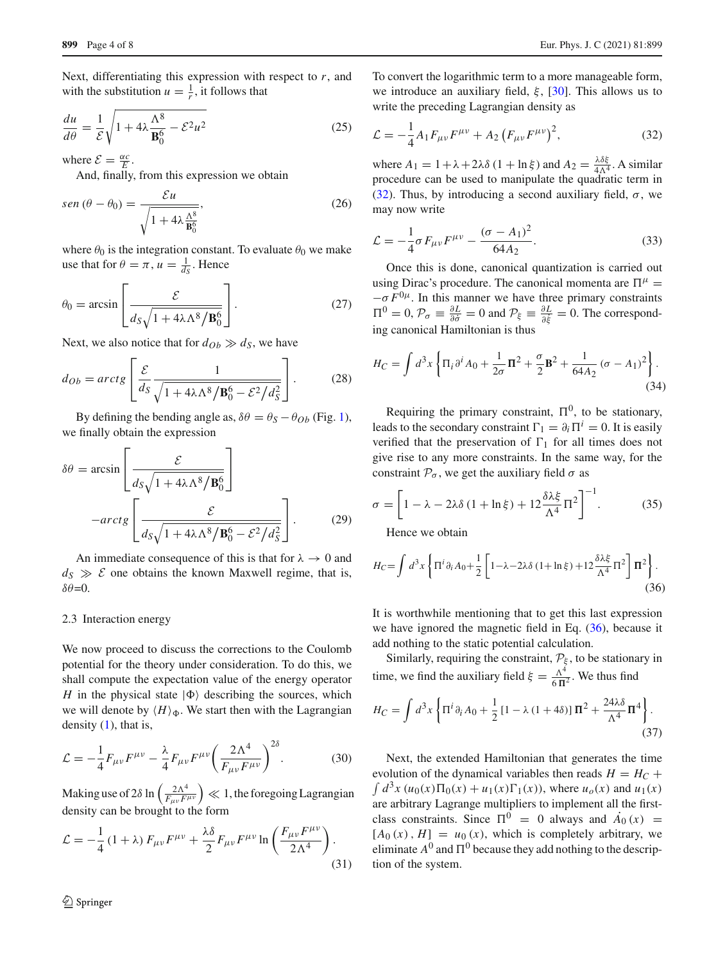Next, differentiating this expression with respect to *r*, and with the substitution  $u = \frac{1}{r}$ , it follows that

$$
\frac{du}{d\theta} = \frac{1}{\mathcal{E}} \sqrt{1 + 4\lambda \frac{\Lambda^8}{\mathbf{B}_0^6} - \mathcal{E}^2 u^2}
$$
(25)

where  $\mathcal{E} = \frac{\alpha c}{E}$ .

And, finally, from this expression we obtain

$$
sen (\theta - \theta_0) = \frac{\mathcal{E}u}{\sqrt{1 + 4\lambda \frac{\Lambda^8}{\mathbf{B}_0^6}}},
$$
\n(26)

where  $\theta_0$  is the integration constant. To evaluate  $\theta_0$  we make use that for  $\theta = \pi$ ,  $u = \frac{1}{d_s}$ . Hence

$$
\theta_0 = \arcsin\left[\frac{\mathcal{E}}{d_S\sqrt{1 + 4\lambda\Lambda^8/\mathbf{B}_0^6}}\right].
$$
 (27)

Next, we also notice that for  $d_{Ob} \gg d_S$ , we have

$$
d_{Ob} = \arctg \left[ \frac{\mathcal{E}}{ds} \frac{1}{\sqrt{1 + 4\lambda \Lambda^8 / \mathbf{B}_0^6 - \mathcal{E}^2 / d_S^2}} \right].
$$
 (28)

By defining the bending angle as,  $\delta\theta = \theta_S - \theta_{Ob}$  (Fig. [1\)](#page-4-0), we finally obtain the expression

$$
\delta\theta = \arcsin\left[\frac{\mathcal{E}}{d_S\sqrt{1 + 4\lambda\Lambda^8/\mathbf{B}_0^6}}\right]
$$

$$
-arctg\left[\frac{\mathcal{E}}{d_S\sqrt{1 + 4\lambda\Lambda^8/\mathbf{B}_0^6 - \mathcal{E}^2/d_S^2}}\right].
$$
(29)

An immediate consequence of this is that for  $\lambda \to 0$  and  $d_S \gg \mathcal{E}$  one obtains the known Maxwell regime, that is,  $δθ=0.$ 

#### 2.3 Interaction energy

We now proceed to discuss the corrections to the Coulomb potential for the theory under consideration. To do this, we shall compute the expectation value of the energy operator *H* in the physical state  $|\Phi\rangle$  describing the sources, which we will denote by  $\langle H \rangle_{\Phi}$ . We start then with the Lagrangian density  $(1)$ , that is,

$$
\mathcal{L} = -\frac{1}{4} F_{\mu\nu} F^{\mu\nu} - \frac{\lambda}{4} F_{\mu\nu} F^{\mu\nu} \left( \frac{2\Lambda^4}{F_{\mu\nu} F^{\mu\nu}} \right)^{2\delta} . \tag{30}
$$

Making use of 2 $\delta \ln \left( \frac{2\Lambda^4}{F_{\mu\nu}F^{\mu\nu}} \right) \ll 1$ , the foregoing Lagrangian density can be brought to the form

$$
\mathcal{L} = -\frac{1}{4} \left( 1 + \lambda \right) F_{\mu\nu} F^{\mu\nu} + \frac{\lambda \delta}{2} F_{\mu\nu} F^{\mu\nu} \ln \left( \frac{F_{\mu\nu} F^{\mu\nu}}{2\Lambda^4} \right). \tag{31}
$$

To convert the logarithmic term to a more manageable form, we introduce an auxiliary field,  $\xi$ , [\[30\]](#page-7-26). This allows us to write the preceding Lagrangian density as

<span id="page-3-0"></span>
$$
\mathcal{L} = -\frac{1}{4} A_1 F_{\mu\nu} F^{\mu\nu} + A_2 (F_{\mu\nu} F^{\mu\nu})^2, \tag{32}
$$

where  $A_1 = 1 + \lambda + 2\lambda \delta (1 + \ln \xi)$  and  $A_2 = \frac{\lambda \delta \xi}{4\Lambda^4}$ . A similar procedure can be used to manipulate the quadratic term in [\(32\)](#page-3-0). Thus, by introducing a second auxiliary field,  $\sigma$ , we may now write

$$
\mathcal{L} = -\frac{1}{4}\sigma F_{\mu\nu}F^{\mu\nu} - \frac{(\sigma - A_1)^2}{64A_2}.
$$
 (33)

Once this is done, canonical quantization is carried out using Dirac's procedure. The canonical momenta are  $\Pi^{\mu}$  =  $-\sigma F^{0\mu}$ . In this manner we have three primary constraints  $\Pi^0 = 0$ ,  $\mathcal{P}_{\sigma} \equiv \frac{\partial L}{\partial \dot{\sigma}} = 0$  and  $\mathcal{P}_{\xi} \equiv \frac{\partial L}{\partial \dot{\xi}} = 0$ . The corresponding canonical Hamiltonian is thus

$$
H_C = \int d^3x \left\{ \Pi_i \partial^i A_0 + \frac{1}{2\sigma} \Pi^2 + \frac{\sigma}{2} \mathbf{B}^2 + \frac{1}{64A_2} (\sigma - A_1)^2 \right\}.
$$
\n(34)

Requiring the primary constraint,  $\Pi^0$ , to be stationary, leads to the secondary constraint  $\Gamma_1 = \partial_i \Pi^i = 0$ . It is easily verified that the preservation of  $\Gamma_1$  for all times does not give rise to any more constraints. In the same way, for the constraint  $P_{\sigma}$ , we get the auxiliary field  $\sigma$  as

$$
\sigma = \left[1 - \lambda - 2\lambda \delta \left(1 + \ln \xi\right) + 12 \frac{\delta \lambda \xi}{\Lambda^4} \Pi^2\right]^{-1}.\tag{35}
$$

Hence we obtain

<span id="page-3-1"></span>
$$
H_C = \int d^3x \left\{ \Pi^i \partial_i A_0 + \frac{1}{2} \left[ 1 - \lambda - 2\lambda \delta \left( 1 + \ln \xi \right) + 12 \frac{\delta \lambda \xi}{\Lambda^4} \Pi^2 \right] \Pi^2 \right\}.
$$
\n(36)

It is worthwhile mentioning that to get this last expression we have ignored the magnetic field in Eq. [\(36\)](#page-3-1), because it add nothing to the static potential calculation.

Similarly, requiring the constraint,  $\mathcal{P}_{\xi}$ , to be stationary in time, we find the auxiliary field  $\xi = \frac{\Lambda^4}{6 \Pi^2}$ . We thus find

$$
H_C = \int d^3x \left\{ \Pi^i \partial_i A_0 + \frac{1}{2} \left[ 1 - \lambda (1 + 4\delta) \right] \Pi^2 + \frac{24\lambda \delta}{\Lambda^4} \Pi^4 \right\}.
$$
\n(37)

Next, the extended Hamiltonian that generates the time evolution of the dynamical variables then reads  $H = H_C +$  $\int d^3x \, (u_0(x) \Pi_0(x) + u_1(x) \Gamma_1(x))$ , where  $u_0(x)$  and  $u_1(x)$ are arbitrary Lagrange multipliers to implement all the firstclass constraints. Since  $\Pi^0 = 0$  always and  $\dot{A}_0(x) =$  $[A_0(x), H] = u_0(x)$ , which is completely arbitrary, we eliminate  $A^0$  and  $\Pi^0$  because they add nothing to the description of the system.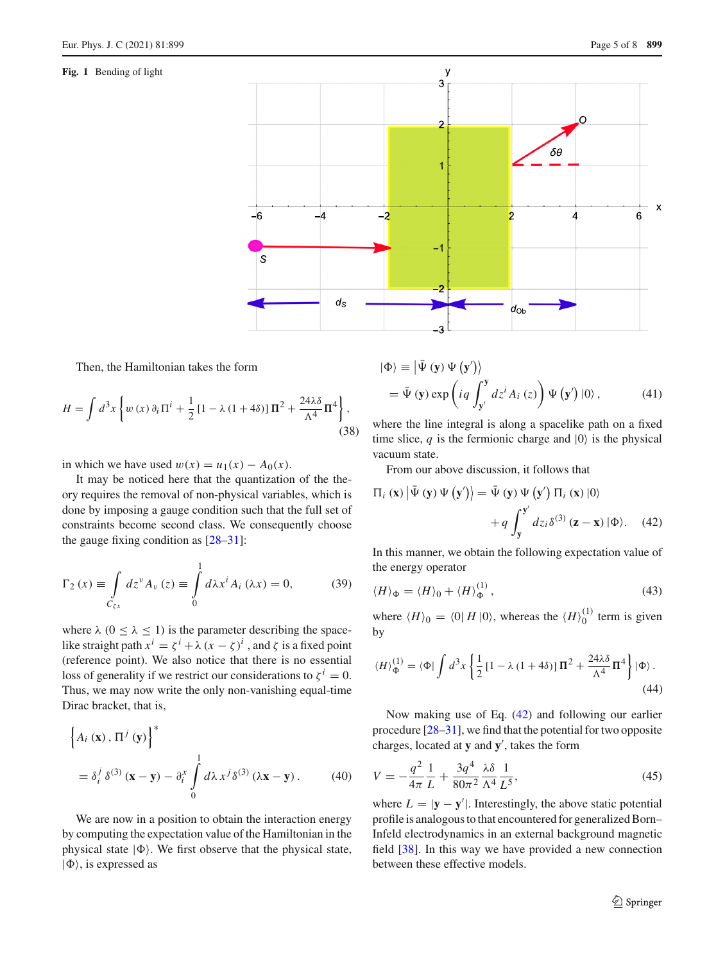### <span id="page-4-0"></span>**Fig. 1** Bending of light



Then, the Hamiltonian takes the form

$$
H = \int d^3x \left\{ w(x) \partial_i \Pi^i + \frac{1}{2} \left[ 1 - \lambda (1 + 4\delta) \right] \Pi^2 + \frac{24\lambda \delta}{\Lambda^4} \Pi^4 \right\},\tag{38}
$$

in which we have used  $w(x) = u_1(x) - A_0(x)$ .

It may be noticed here that the quantization of the theory requires the removal of non-physical variables, which is done by imposing a gauge condition such that the full set of constraints become second class. We consequently choose the gauge fixing condition as  $[28-31]$  $[28-31]$ :

$$
\Gamma_2(x) \equiv \int\limits_{C_{\zeta x}} dz^{\nu} A_{\nu}(z) \equiv \int\limits_0^1 d\lambda x^i A_i(\lambda x) = 0,
$$
 (39)

where  $\lambda$  ( $0 \le \lambda \le 1$ ) is the parameter describing the spacelike straight path  $x^i = \zeta^i + \lambda (x - \zeta)^i$ , and  $\zeta$  is a fixed point (reference point). We also notice that there is no essential loss of generality if we restrict our considerations to  $\zeta^{i} = 0$ . Thus, we may now write the only non-vanishing equal-time Dirac bracket, that is,

$$
\left\{ A_i \left( \mathbf{x} \right), \Pi^j \left( \mathbf{y} \right) \right\}^*
$$
  
=  $\delta_i^j \delta^{(3)} \left( \mathbf{x} - \mathbf{y} \right) - \delta_i^x \int_0^1 d\lambda x^j \delta^{(3)} \left( \lambda \mathbf{x} - \mathbf{y} \right).$  (40)

We are now in a position to obtain the interaction energy by computing the expectation value of the Hamiltonian in the physical state  $|\Phi\rangle$ . We first observe that the physical state,  $|\Phi\rangle$ , is expressed as

$$
\begin{aligned} |\Phi\rangle &\equiv \left| \bar{\Psi} \left( \mathbf{y} \right) \Psi \left( \mathbf{y}' \right) \right\rangle \\ &= \bar{\Psi} \left( \mathbf{y} \right) \exp \left( i q \int_{\mathbf{y}'}^{\mathbf{y}} dz^i A_i \left( z \right) \right) \Psi \left( \mathbf{y}' \right) |0\rangle \,, \end{aligned} \tag{41}
$$

where the line integral is along a spacelike path on a fixed time slice,  $q$  is the fermionic charge and  $|0\rangle$  is the physical vacuum state.

From our above discussion, it follows that

<span id="page-4-1"></span>
$$
\Pi_{i}(\mathbf{x})|\bar{\Psi}(\mathbf{y})\Psi(\mathbf{y}')\rangle = \bar{\Psi}(\mathbf{y})\Psi(\mathbf{y}')\Pi_{i}(\mathbf{x})|0\rangle
$$

$$
+q\int_{\mathbf{y}}^{\mathbf{y}'}dz_{i}\delta^{(3)}(\mathbf{z}-\mathbf{x})|\Phi\rangle. \quad (42)
$$

In this manner, we obtain the following expectation value of the energy operator

$$
\langle H \rangle_{\Phi} = \langle H \rangle_0 + \langle H \rangle_{\Phi}^{(1)},\tag{43}
$$

where  $\langle H \rangle_0 = \langle 0 | H | 0 \rangle$ , whereas the  $\langle H \rangle_0^{(1)}$  term is given by

$$
\langle H \rangle_{\Phi}^{(1)} = \langle \Phi | \int d^3x \left\{ \frac{1}{2} \left[ 1 - \lambda \left( 1 + 4\delta \right) \right] \Pi^2 + \frac{24\lambda \delta}{\Lambda^4} \Pi^4 \right\} | \Phi \rangle \,. \tag{44}
$$

Now making use of Eq. [\(42\)](#page-4-1) and following our earlier procedure [\[28](#page-7-19)[–31\]](#page-7-20), we find that the potential for two opposite charges, located at  $y$  and  $y'$ , takes the form

$$
V = -\frac{q^2}{4\pi} \frac{1}{L} + \frac{3q^4}{80\pi^2} \frac{\lambda \delta}{\Lambda^4} \frac{1}{L^5},\tag{45}
$$

where  $L = |\mathbf{y} - \mathbf{y}'|$ . Interestingly, the above static potential profile is analogous to that encountered for generalized Born– Infeld electrodynamics in an external background magnetic field [\[38](#page-7-27)]. In this way we have provided a new connection between these effective models.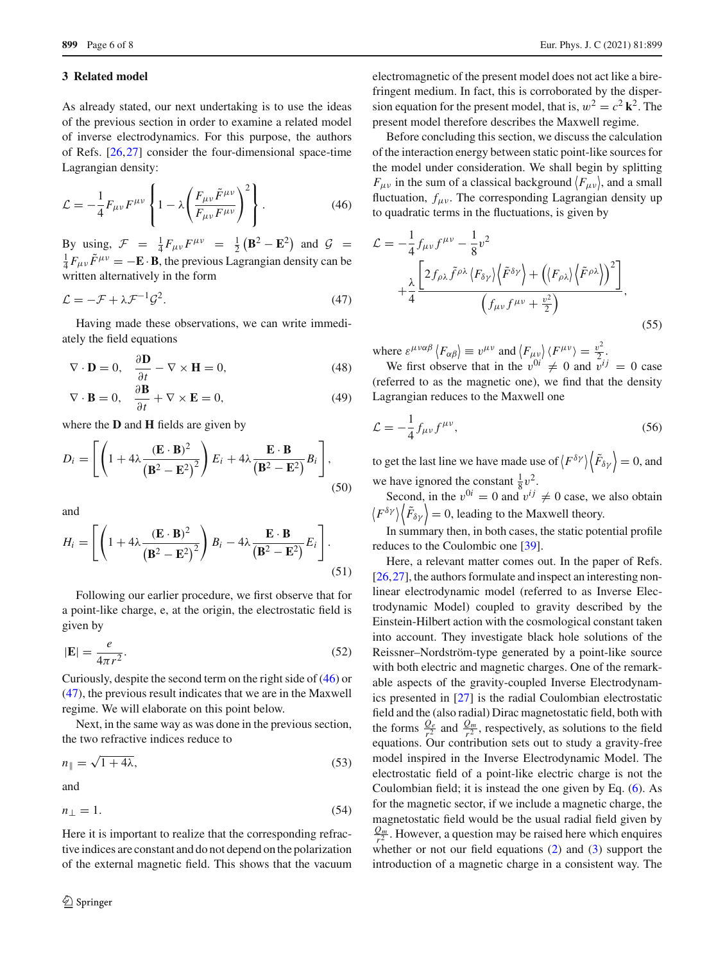#### <span id="page-5-0"></span>**3 Related model**

As already stated, our next undertaking is to use the ideas of the previous section in order to examine a related model of inverse electrodynamics. For this purpose, the authors of Refs. [\[26,](#page-7-17)[27\]](#page-7-18) consider the four-dimensional space-time Lagrangian density:

<span id="page-5-1"></span>
$$
\mathcal{L} = -\frac{1}{4} F_{\mu\nu} F^{\mu\nu} \left\{ 1 - \lambda \left( \frac{F_{\mu\nu} \tilde{F}^{\mu\nu}}{F_{\mu\nu} F^{\mu\nu}} \right)^2 \right\}.
$$
 (46)

By using,  $\mathcal{F} = \frac{1}{4} F_{\mu\nu} F^{\mu\nu} = \frac{1}{2} (\mathbf{B}^2 - \mathbf{E}^2)$  and  $\mathcal{G} = \frac{1}{2} F_{\mu\nu} \tilde{F}^{\mu\nu} = -\mathbf{F} \cdot \mathbf{R}$  the previous Lagrangian density can be  $\frac{1}{4}F_{\mu\nu}\tilde{F}^{\mu\nu}=-\mathbf{E}\cdot\mathbf{B}$ , the previous Lagrangian density can be written alternatively in the form

<span id="page-5-2"></span>
$$
\mathcal{L} = -\mathcal{F} + \lambda \mathcal{F}^{-1} \mathcal{G}^2. \tag{47}
$$

Having made these observations, we can write immediately the field equations

$$
\nabla \cdot \mathbf{D} = 0, \quad \frac{\partial \mathbf{D}}{\partial t} - \nabla \times \mathbf{H} = 0,
$$
 (48)

$$
\nabla \cdot \mathbf{B} = 0, \quad \frac{\partial \mathbf{B}}{\partial t} + \nabla \times \mathbf{E} = 0,
$$
 (49)

where the **D** and **H** fields are given by

$$
D_i = \left[ \left( 1 + 4\lambda \frac{(\mathbf{E} \cdot \mathbf{B})^2}{(\mathbf{B}^2 - \mathbf{E}^2)^2} \right) E_i + 4\lambda \frac{\mathbf{E} \cdot \mathbf{B}}{(\mathbf{B}^2 - \mathbf{E}^2)} B_i \right],
$$
\n(50)

and

$$
H_i = \left[ \left( 1 + 4\lambda \frac{(\mathbf{E} \cdot \mathbf{B})^2}{(\mathbf{B}^2 - \mathbf{E}^2)^2} \right) B_i - 4\lambda \frac{\mathbf{E} \cdot \mathbf{B}}{(\mathbf{B}^2 - \mathbf{E}^2)} E_i \right].
$$
\n(51)

Following our earlier procedure, we first observe that for a point-like charge, e, at the origin, the electrostatic field is given by

$$
|\mathbf{E}| = \frac{e}{4\pi r^2}.\tag{52}
$$

Curiously, despite the second term on the right side of [\(46\)](#page-5-1) or [\(47\)](#page-5-2), the previous result indicates that we are in the Maxwell regime. We will elaborate on this point below.

Next, in the same way as was done in the previous section, the two refractive indices reduce to

$$
n_{\parallel} = \sqrt{1 + 4\lambda},\tag{53}
$$

and

$$
n_{\perp} = 1. \tag{54}
$$

Here it is important to realize that the corresponding refractive indices are constant and do not depend on the polarization of the external magnetic field. This shows that the vacuum electromagnetic of the present model does not act like a birefringent medium. In fact, this is corroborated by the dispersion equation for the present model, that is,  $w^2 = c^2 \mathbf{k}^2$ . The present model therefore describes the Maxwell regime.

Before concluding this section, we discuss the calculation of the interaction energy between static point-like sources for the model under consideration. We shall begin by splitting  $F_{\mu\nu}$  in the sum of a classical background  $\langle F_{\mu\nu} \rangle$ , and a small fluctuation,  $f_{\mu\nu}$ . The corresponding Lagrangian density up to quadratic terms in the fluctuations, is given by

$$
\mathcal{L} = -\frac{1}{4} f_{\mu\nu} f^{\mu\nu} - \frac{1}{8} v^2 \n+ \frac{\lambda}{4} \frac{\left[ 2 f_{\rho\lambda} \tilde{f}^{\rho\lambda} \langle F_{\delta\gamma} \rangle \langle \tilde{F}^{\delta\gamma} \rangle + \left( \langle F_{\rho\lambda} \rangle \langle \tilde{F}^{\rho\lambda} \rangle \right)^2 \right]}{\left( f_{\mu\nu} f^{\mu\nu} + \frac{v^2}{2} \right)},
$$
\n(55)

where  $\varepsilon^{\mu\nu\alpha\beta}$   $\langle F_{\alpha\beta} \rangle \equiv v^{\mu\nu}$  and  $\langle F_{\mu\nu} \rangle \langle F^{\mu\nu} \rangle = \frac{v^2}{2}$ .

We first observe that in the  $v^{0i} \neq 0$  and  $\overline{v}^{ij} = 0$  case (referred to as the magnetic one), we find that the density Lagrangian reduces to the Maxwell one

$$
\mathcal{L} = -\frac{1}{4} f_{\mu\nu} f^{\mu\nu},\tag{56}
$$

to get the last line we have made use of  $\left\langle F^{\delta \gamma} \right\rangle \left\langle \tilde{F}_{\delta \gamma} \right\rangle = 0$ , and we have ignored the constant  $\frac{1}{8}v^2$ .

Second, in the  $v^{0i} = 0$  and  $v^{ij} \neq 0$  case, we also obtain  $\langle F^{\delta \gamma} \rangle \langle \tilde{F}_{\delta \gamma} \rangle = 0$ , leading to the Maxwell theory.

In summary then, in both cases, the static potential profile reduces to the Coulombic one [\[39\]](#page-7-28).

Here, a relevant matter comes out. In the paper of Refs. [\[26](#page-7-17),[27\]](#page-7-18), the authors formulate and inspect an interesting nonlinear electrodynamic model (referred to as Inverse Electrodynamic Model) coupled to gravity described by the Einstein-Hilbert action with the cosmological constant taken into account. They investigate black hole solutions of the Reissner–Nordström-type generated by a point-like source with both electric and magnetic charges. One of the remarkable aspects of the gravity-coupled Inverse Electrodynamics presented in [\[27](#page-7-18)] is the radial Coulombian electrostatic field and the (also radial) Dirac magnetostatic field, both with the forms  $\frac{Q_e}{r^2}$  and  $\frac{Q_m}{r^2}$ , respectively, as solutions to the field equations. Our contribution sets out to study a gravity-free model inspired in the Inverse Electrodynamic Model. The electrostatic field of a point-like electric charge is not the Coulombian field; it is instead the one given by Eq. [\(6\)](#page-1-2). As for the magnetic sector, if we include a magnetic charge, the magnetostatic field would be the usual radial field given by  $\frac{Q_m}{r^2}$ . However, a question may be raised here which enquires whether or not our field equations [\(2\)](#page-1-3) and [\(3\)](#page-1-3) support the introduction of a magnetic charge in a consistent way. The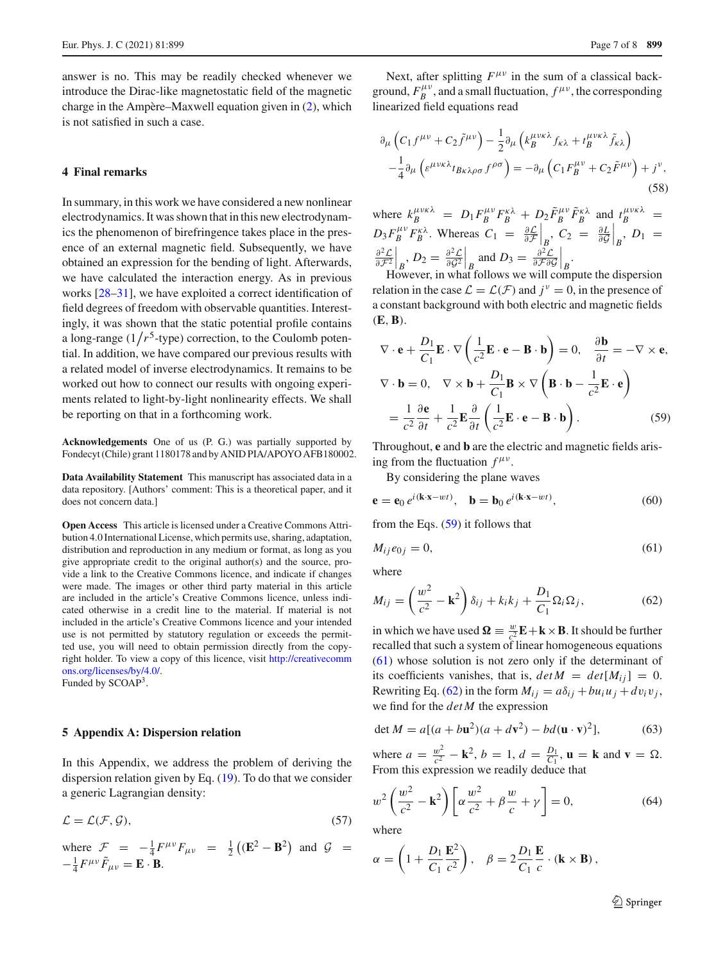answer is no. This may be readily checked whenever we introduce the Dirac-like magnetostatic field of the magnetic charge in the Ampère–Maxwell equation given in [\(2\)](#page-1-3), which is not satisfied in such a case.

### <span id="page-6-0"></span>**4 Final remarks**

In summary, in this work we have considered a new nonlinear electrodynamics. It was shown that in this new electrodynamics the phenomenon of birefringence takes place in the presence of an external magnetic field. Subsequently, we have obtained an expression for the bending of light. Afterwards, we have calculated the interaction energy. As in previous works [\[28](#page-7-19)[–31\]](#page-7-20), we have exploited a correct identification of field degrees of freedom with observable quantities. Interestingly, it was shown that the static potential profile contains a long-range  $(1/r^5$ -type) correction, to the Coulomb potential. In addition, we have compared our previous results with a related model of inverse electrodynamics. It remains to be worked out how to connect our results with ongoing experiments related to light-by-light nonlinearity effects. We shall be reporting on that in a forthcoming work.

**Acknowledgements** One of us (P. G.) was partially supported by Fondecyt (Chile) grant 1180178 and by ANID PIA/APOYO AFB180002.

**Data Availability Statement** This manuscript has associated data in a data repository. [Authors' comment: This is a theoretical paper, and it does not concern data.]

**Open Access** This article is licensed under a Creative Commons Attribution 4.0 International License, which permits use, sharing, adaptation, distribution and reproduction in any medium or format, as long as you give appropriate credit to the original author(s) and the source, provide a link to the Creative Commons licence, and indicate if changes were made. The images or other third party material in this article are included in the article's Creative Commons licence, unless indicated otherwise in a credit line to the material. If material is not included in the article's Creative Commons licence and your intended use is not permitted by statutory regulation or exceeds the permitted use, you will need to obtain permission directly from the copyright holder. To view a copy of this licence, visit [http://creativecomm](http://creativecommons.org/licenses/by/4.0/) [ons.org/licenses/by/4.0/.](http://creativecommons.org/licenses/by/4.0/)

Funded by SCOAP3.

#### **5 Appendix A: Dispersion relation**

In this Appendix, we address the problem of deriving the dispersion relation given by Eq. [\(19\)](#page-2-2). To do that we consider a generic Lagrangian density:

$$
\mathcal{L} = \mathcal{L}(\mathcal{F}, \mathcal{G}),\tag{57}
$$

where  $\mathcal{F} = -\frac{1}{4} F^{\mu\nu} F_{\mu\nu} = \frac{1}{2} ((\mathbf{E}^2 - \mathbf{B}^2))$  and  $\mathcal{G} =$  $-\frac{1}{4}F^{\mu\nu}\tilde{F}_{\mu\nu}=\mathbf{E}\cdot\mathbf{B}.$ 

Next, after splitting  $F^{\mu\nu}$  in the sum of a classical background,  $F_B^{\mu\nu}$ , and a small fluctuation,  $f^{\mu\nu}$ , the corresponding linearized field equations read

$$
\partial_{\mu} \left( C_{1} f^{\mu \nu} + C_{2} \tilde{f}^{\mu \nu} \right) - \frac{1}{2} \partial_{\mu} \left( k_{B}^{\mu \nu \kappa \lambda} f_{\kappa \lambda} + t_{B}^{\mu \nu \kappa \lambda} \tilde{f}_{\kappa \lambda} \right) \n- \frac{1}{4} \partial_{\mu} \left( \varepsilon^{\mu \nu \kappa \lambda} t_{B \kappa \lambda \rho \sigma} f^{\rho \sigma} \right) = - \partial_{\mu} \left( C_{1} F_{B}^{\mu \nu} + C_{2} \tilde{F}^{\mu \nu} \right) + j^{\nu},
$$
\n(58)

where  $k_B^{\mu\nu\kappa\lambda} = D_1 F_B^{\mu\nu} F_B^{\kappa\lambda} + D_2 \tilde{F}_B^{\mu\nu} \tilde{F}_B^{\kappa\lambda}$  and  $t_B^{\mu\nu\kappa\lambda} =$  $D_3 F_B^{\mu\nu} F_B^{\kappa\lambda}$ . Whereas  $C_1 = \frac{\partial \mathcal{L}}{\partial \mathcal{F}}$  $\Big|_B$ ,  $C_2 = \frac{\partial L}{\partial \mathcal{G}}$  $\Big|_B$ ,  $D_1 =$ <sup>∂</sup>2*<sup>L</sup>* <sup>∂</sup>*F*<sup>2</sup>  $B, D_2 = \frac{\partial^2 \mathcal{L}}{\partial \mathcal{G}^2}$  $\Big|_B$  and  $D_3 = \frac{\partial^2 \mathcal{L}}{\partial \mathcal{F} \partial \mathcal{G}}$  $\Big|_B$ .

However, in what follows we will compute the dispersion relation in the case  $\mathcal{L} = \mathcal{L}(\mathcal{F})$  and  $j^{\nu} = 0$ , in the presence of a constant background with both electric and magnetic fields (**E**,**B**).

<span id="page-6-1"></span>
$$
\nabla \cdot \mathbf{e} + \frac{D_1}{C_1} \mathbf{E} \cdot \nabla \left( \frac{1}{c^2} \mathbf{E} \cdot \mathbf{e} - \mathbf{B} \cdot \mathbf{b} \right) = 0, \quad \frac{\partial \mathbf{b}}{\partial t} = -\nabla \times \mathbf{e},
$$
  

$$
\nabla \cdot \mathbf{b} = 0, \quad \nabla \times \mathbf{b} + \frac{D_1}{C_1} \mathbf{B} \times \nabla \left( \mathbf{B} \cdot \mathbf{b} - \frac{1}{c^2} \mathbf{E} \cdot \mathbf{e} \right)
$$

$$
= \frac{1}{c^2} \frac{\partial \mathbf{e}}{\partial t} + \frac{1}{c^2} \mathbf{E} \frac{\partial}{\partial t} \left( \frac{1}{c^2} \mathbf{E} \cdot \mathbf{e} - \mathbf{B} \cdot \mathbf{b} \right).
$$
(59)

Throughout, **e** and **b** are the electric and magnetic fields arising from the fluctuation  $f^{\mu\nu}$ .

By considering the plane waves

$$
\mathbf{e} = \mathbf{e}_0 e^{i(\mathbf{k} \cdot \mathbf{x} - wt)}, \quad \mathbf{b} = \mathbf{b}_0 e^{i(\mathbf{k} \cdot \mathbf{x} - wt)}, \tag{60}
$$

from the Eqs. [\(59\)](#page-6-1) it follows that

<span id="page-6-2"></span>
$$
M_{ij}e_{0j}=0,\t\t(61)
$$

where

<span id="page-6-3"></span>
$$
M_{ij} = \left(\frac{w^2}{c^2} - \mathbf{k}^2\right)\delta_{ij} + k_i k_j + \frac{D_1}{C_1}\Omega_i\Omega_j,
$$
 (62)

in which we have used  $\Omega = \frac{w}{c^2} \mathbf{E} + \mathbf{k} \times \mathbf{B}$ . It should be further recalled that such a system of linear homogeneous equations [\(61\)](#page-6-2) whose solution is not zero only if the determinant of its coefficients vanishes, that is,  $det M = det[M_{ij}] = 0$ . Rewriting Eq. [\(62\)](#page-6-3) in the form  $M_{ij} = a\delta_{ij} + bu_iu_j + dv_iv_j$ , we find for the *detM* the expression

$$
\det M = a[(a + b\mathbf{u}^2)(a + d\mathbf{v}^2) - bd(\mathbf{u} \cdot \mathbf{v})^2],\tag{63}
$$

where  $a = \frac{w^2}{c^2} - \mathbf{k}^2$ ,  $b = 1$ ,  $d = \frac{D_1}{C_1}$ ,  $\mathbf{u} = \mathbf{k}$  and  $\mathbf{v} = \Omega$ . From this expression we readily deduce that

$$
w^2 \left(\frac{w^2}{c^2} - \mathbf{k}^2\right) \left[\alpha \frac{w^2}{c^2} + \beta \frac{w}{c} + \gamma\right] = 0,\tag{64}
$$

where

$$
\alpha = \left(1 + \frac{D_1}{C_1} \frac{\mathbf{E}^2}{c^2}\right), \quad \beta = 2 \frac{D_1}{C_1} \frac{\mathbf{E}}{c} \cdot (\mathbf{k} \times \mathbf{B}),
$$

<sup>2</sup> Springer